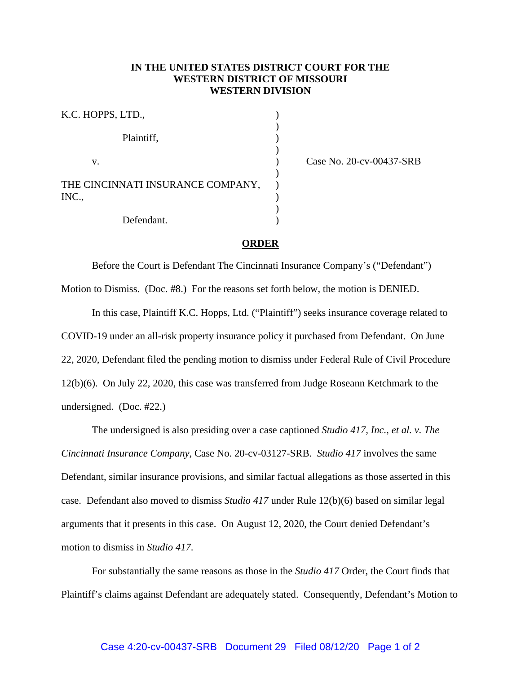## **IN THE UNITED STATES DISTRICT COURT FOR THE WESTERN DISTRICT OF MISSOURI WESTERN DIVISION**

| K.C. HOPPS, LTD.,                          |  |
|--------------------------------------------|--|
| Plaintiff,                                 |  |
| V.                                         |  |
| THE CINCINNATI INSURANCE COMPANY,<br>INC., |  |
| Defendant.                                 |  |

Case No. 20-cv-00437-SRB

## **ORDER**

Before the Court is Defendant The Cincinnati Insurance Company's ("Defendant")

Motion to Dismiss. (Doc. #8.) For the reasons set forth below, the motion is DENIED.

 In this case, Plaintiff K.C. Hopps, Ltd. ("Plaintiff") seeks insurance coverage related to COVID-19 under an all-risk property insurance policy it purchased from Defendant. On June 22, 2020, Defendant filed the pending motion to dismiss under Federal Rule of Civil Procedure 12(b)(6). On July 22, 2020, this case was transferred from Judge Roseann Ketchmark to the undersigned. (Doc. #22.)

 The undersigned is also presiding over a case captioned *Studio 417, Inc., et al. v. The Cincinnati Insurance Company*, Case No. 20-cv-03127-SRB. *Studio 417* involves the same Defendant, similar insurance provisions, and similar factual allegations as those asserted in this case. Defendant also moved to dismiss *Studio 417* under Rule 12(b)(6) based on similar legal arguments that it presents in this case. On August 12, 2020, the Court denied Defendant's motion to dismiss in *Studio 417*.

 For substantially the same reasons as those in the *Studio 417* Order, the Court finds that Plaintiff's claims against Defendant are adequately stated. Consequently, Defendant's Motion to